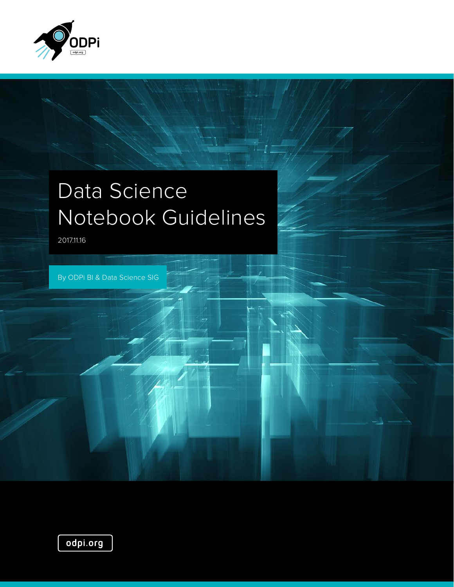

# Data Science Notebook Guidelines

2017.11.16

By ODPi BI & Data Science SIG

odpi.org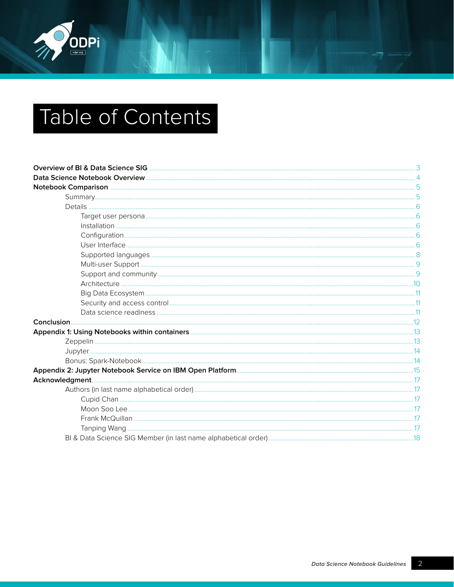

# Table of Contents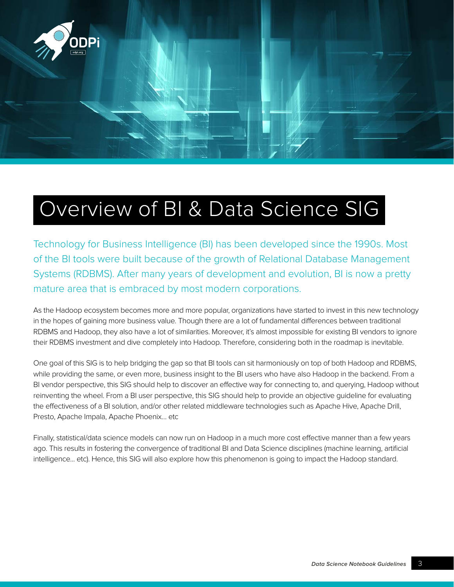<span id="page-2-0"></span>

# Overview of BI & Data Science SIG

Technology for Business Intelligence (BI) has been developed since the 1990s. Most of the BI tools were built because of the growth of Relational Database Management Systems (RDBMS). After many years of development and evolution, BI is now a pretty mature area that is embraced by most modern corporations.

As the Hadoop ecosystem becomes more and more popular, organizations have started to invest in this new technology in the hopes of gaining more business value. Though there are a lot of fundamental differences between traditional RDBMS and Hadoop, they also have a lot of similarities. Moreover, it's almost impossible for existing BI vendors to ignore their RDBMS investment and dive completely into Hadoop. Therefore, considering both in the roadmap is inevitable.

One goal of this SIG is to help bridging the gap so that BI tools can sit harmoniously on top of both Hadoop and RDBMS, while providing the same, or even more, business insight to the BI users who have also Hadoop in the backend. From a BI vendor perspective, this SIG should help to discover an effective way for connecting to, and querying, Hadoop without reinventing the wheel. From a BI user perspective, this SIG should help to provide an objective guideline for evaluating the effectiveness of a BI solution, and/or other related middleware technologies such as Apache Hive, Apache Drill, Presto, Apache Impala, Apache Phoenix… etc

Finally, statistical/data science models can now run on Hadoop in a much more cost effective manner than a few years ago. This results in fostering the convergence of traditional BI and Data Science disciplines (machine learning, artificial intelligence... etc). Hence, this SIG will also explore how this phenomenon is going to impact the Hadoop standard.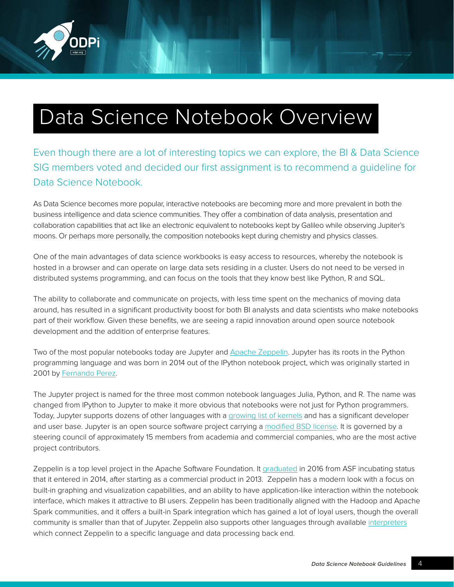<span id="page-3-0"></span>

# Data Science Notebook Overview

Even though there are a lot of interesting topics we can explore, the BI & Data Science SIG members voted and decided our first assignment is to recommend a guideline for Data Science Notebook.

As Data Science becomes more popular, interactive notebooks are becoming more and more prevalent in both the business intelligence and data science communities. They offer a combination of data analysis, presentation and collaboration capabilities that act like an electronic equivalent to notebooks kept by Galileo while observing Jupiter's moons. Or perhaps more personally, the composition notebooks kept during chemistry and physics classes.

One of the main advantages of data science workbooks is easy access to resources, whereby the notebook is hosted in a browser and can operate on large data sets residing in a cluster. Users do not need to be versed in distributed systems programming, and can focus on the tools that they know best like Python, R and SQL.

The ability to collaborate and communicate on projects, with less time spent on the mechanics of moving data around, has resulted in a significant productivity boost for both BI analysts and data scientists who make notebooks part of their workflow. Given these benefits, we are seeing a rapid innovation around open source notebook development and the addition of enterprise features.

Two of the most popular notebooks today are Jupyter and [Apache Zeppelin](https://zeppelin.apache.org/). Jupyter has its roots in the Python programming language and was born in 2014 out of the IPython notebook project, which was originally started in 2001 by [Fernando Perez](http://fperez.org/).

The Jupyter project is named for the three most common notebook languages Julia, Python, and R. The name was changed from IPython to Jupyter to make it more obvious that notebooks were not just for Python programmers. Today, Jupyter supports dozens of other languages with a [growing list of kernels](https://github.com/jupyter/jupyter/wiki/Jupyter-kernels) and has a significant developer and user base. Jupyter is an open source software project carrying a [modified BSD license](https://opensource.org/licenses/BSD-3-Clause). It is governed by a steering council of approximately 15 members from academia and commercial companies, who are the most active project contributors.

Zeppelin is a top level project in the Apache Software Foundation. It [graduated](https://blogs.apache.org/foundation/entry/the_apache_software_foundation_announces92) in 2016 from ASF incubating status that it entered in 2014, after starting as a commercial product in 2013. Zeppelin has a modern look with a focus on built-in graphing and visualization capabilities, and an ability to have application-like interaction within the notebook interface, which makes it attractive to BI users. Zeppelin has been traditionally aligned with the Hadoop and Apache Spark communities, and it offers a built-in Spark integration which has gained a lot of loyal users, though the overall community is smaller than that of Jupyter. Zeppelin also supports other languages through available [interpreters](https://zeppelin.apache.org/docs/latest/manual/interpreters.html) which connect Zeppelin to a specific language and data processing back end.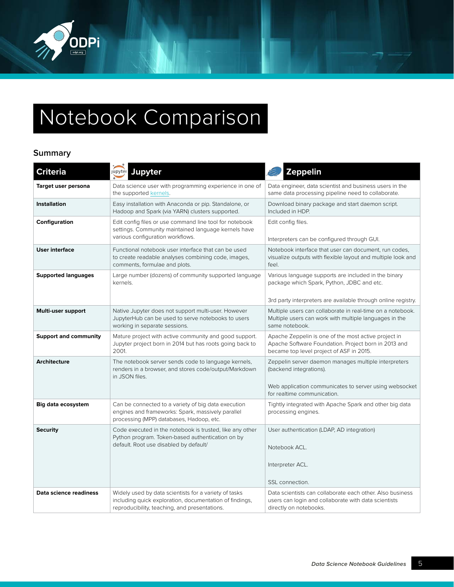<span id="page-4-0"></span>

# Notebook Comparison

## **Summary**

| <b>Criteria</b>              | Jupyter<br>jupyter                                                                                                                                                | <b>Zeppelin</b>                                                                                                                                                          |  |
|------------------------------|-------------------------------------------------------------------------------------------------------------------------------------------------------------------|--------------------------------------------------------------------------------------------------------------------------------------------------------------------------|--|
| Target user persona          | Data science user with programming experience in one of<br>the supported kernels.                                                                                 | Data engineer, data scientist and business users in the<br>same data processing pipeline need to collaborate.                                                            |  |
| <b>Installation</b>          | Easy installation with Anaconda or pip. Standalone, or<br>Hadoop and Spark (via YARN) clusters supported.                                                         | Download binary package and start daemon script.<br>Included in HDP.                                                                                                     |  |
| Configuration                | Edit config files or use command line tool for notebook<br>settings. Community maintained language kernels have<br>various configuration workflows.               | Edit config files.<br>Interpreters can be configured through GUI.                                                                                                        |  |
| <b>User interface</b>        | Functional notebook user interface that can be used<br>to create readable analyses combining code, images,<br>comments, formulae and plots.                       | Notebook interface that user can document, run codes,<br>visualize outputs with flexible layout and multiple look and<br>feel.                                           |  |
| <b>Supported languages</b>   | Large number (dozens) of community supported language<br>kernels.                                                                                                 | Various language supports are included in the binary<br>package which Spark, Python, JDBC and etc.<br>3rd party interpreters are available through online registry.      |  |
| Multi-user support           | Native Jupyter does not support multi-user. However<br>JupyterHub can be used to serve notebooks to users<br>working in separate sessions.                        | Multiple users can collaborate in real-time on a notebook.<br>Multiple users can work with multiple languages in the<br>same notebook.                                   |  |
| <b>Support and community</b> | Mature project with active community and good support.<br>Jupyter project born in 2014 but has roots going back to<br>2001.                                       | Apache Zeppelin is one of the most active project in<br>Apache Software Foundation. Project born in 2013 and<br>became top level project of ASF in 2015.                 |  |
| Architecture                 | The notebook server sends code to language kernels,<br>renders in a browser, and stores code/output/Markdown<br>in JSON files.                                    | Zeppelin server daemon manages multiple interpreters<br>(backend integrations).<br>Web application communicates to server using websocket<br>for realtime communication. |  |
| <b>Big data ecosystem</b>    | Can be connected to a variety of big data execution<br>engines and frameworks: Spark, massively parallel<br>processing (MPP) databases, Hadoop, etc.              | Tightly integrated with Apache Spark and other big data<br>processing engines.                                                                                           |  |
| <b>Security</b>              | Code executed in the notebook is trusted, like any other<br>Python program. Token-based authentication on by<br>default. Root use disabled by default/            | User authentication (LDAP, AD integration)<br>Notebook ACL.<br>Interpreter ACL.<br>SSL connection.                                                                       |  |
| Data science readiness       | Widely used by data scientists for a variety of tasks<br>including quick exploration, documentation of findings,<br>reproducibility, teaching, and presentations. | Data scientists can collaborate each other. Also business<br>users can login and collaborate with data scientists<br>directly on notebooks.                              |  |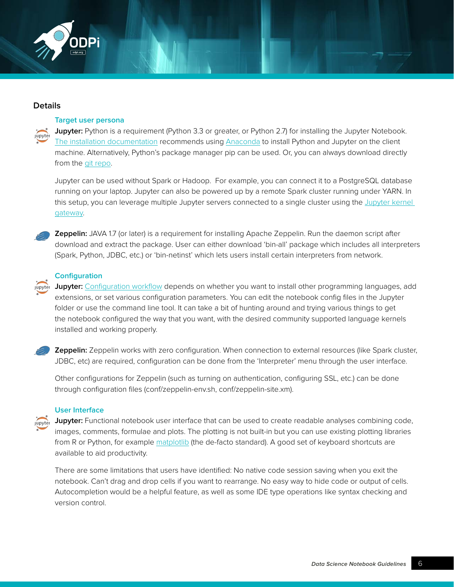<span id="page-5-0"></span>

### **Details**

### **Target user persona**

**Jupyter:** Python is a requirement (Python 3.3 or greater, or Python 2.7) for installing the Jupyter Notebook. [The installation documentation](https://jupyter.readthedocs.io/en/latest/install.html) recommends using [Anaconda](https://www.continuum.io/downloads) to install Python and Jupyter on the client machine. Alternatively, Python's package manager pip can be used. Or, you can always download directly from the [git repo](https://github.com/jupyter/notebook).

Jupyter can be used without Spark or Hadoop. For example, you can connect it to a PostgreSQL database running on your laptop. Jupyter can also be powered up by a remote Spark cluster running under YARN. In this setup, you can leverage multiple Jupyter servers connected to a single cluster using the [Jupyter kernel](https://github.com/jupyter/kernel_gateway)  [gateway.](https://github.com/jupyter/kernel_gateway)



 **Zeppelin:** JAVA 1.7 (or later) is a requirement for installing Apache Zeppelin. Run the daemon script after download and extract the package. User can either download 'bin-all' package which includes all interpreters (Spark, Python, JDBC, etc.) or 'bin-netinst' which lets users install certain interpreters from network.

### **Configuration**

**Jupyter:** [Configuration workflow](https://jupyter.readthedocs.io/en/latest/projects/content-projects.html) depends on whether you want to install other programming languages, add extensions, or set various configuration parameters. You can edit the notebook config files in the Jupyter folder or use the command line tool. It can take a bit of hunting around and trying various things to get the notebook configured the way that you want, with the desired community supported language kernels installed and working properly.



**Zeppelin:** Zeppelin works with zero configuration. When connection to external resources (like Spark cluster, JDBC, etc) are required, configuration can be done from the 'Interpreter' menu through the user interface.

Other configurations for Zeppelin (such as turning on authentication, configuring SSL, etc.) can be done through configuration files (conf/zeppelin-env.sh, conf/zeppelin-site.xm).

### **User Interface**

**Jupyter:** Functional notebook user interface that can be used to create readable analyses combining code, images, comments, formulae and plots. The plotting is not built-in but you can use existing plotting libraries from R or Python, for example [matplotlib](https://matplotlib.org/) (the de-facto standard). A good set of keyboard shortcuts are available to aid productivity.

There are some limitations that users have identified: No native code session saving when you exit the notebook. Can't drag and drop cells if you want to rearrange. No easy way to hide code or output of cells. Autocompletion would be a helpful feature, as well as some IDE type operations like syntax checking and version control.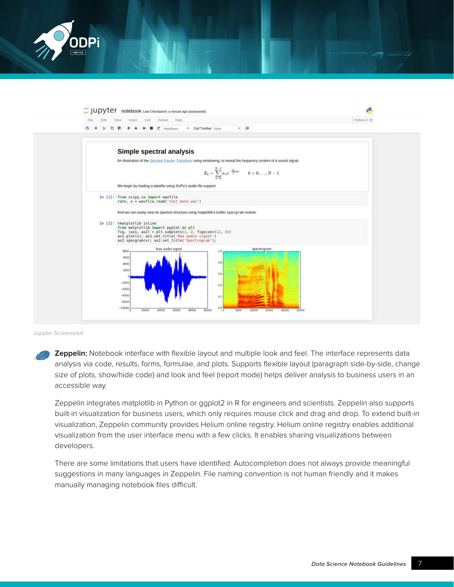



Jupyter Screenshot

**Zeppelin:** Notebook interface with flexible layout and multiple look and feel. The interface represents data analysis via code, results, forms, formulae, and plots. Supports flexible layout (paragraph side-by-side, change size of plots, show/hide code) and look and feel (report mode) helps deliver analysis to business users in an accessible way.

Zeppelin integrates matplotlib in Python or ggplot2 in R for engineers and scientists. Zeppelin also supports built-in visualization for business users, which only requires mouse click and drag and drop. To extend built-in visualization, Zeppelin community provides Helium online registry. Helium online registry enables additional visualization from the user interface menu with a few clicks. It enables sharing visualizations between developers.

There are some limitations that users have identified: Autocompletion does not always provide meaningful suggestions in many languages in Zeppelin. File naming convention is not human friendly and it makes manually managing notebook files difficult.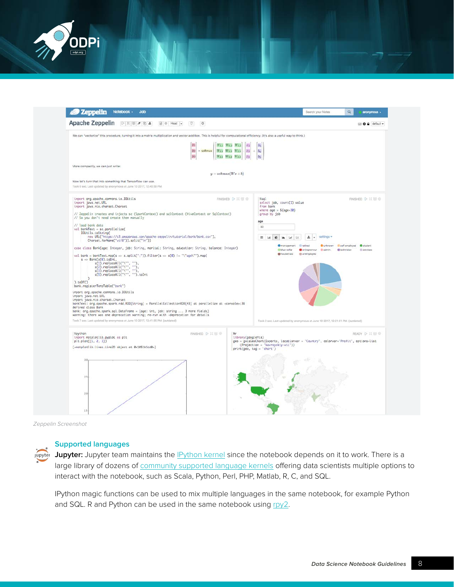<span id="page-7-0"></span>

| <b>Zeppelin</b><br>Notebook -<br>Job                                                                                                                                                                                                                                                                                                                                                                                                                                                               |                       |                                                                                                          |                                                                                                                           | Search your Notes                           | ۵                                               | anonymous -          |
|----------------------------------------------------------------------------------------------------------------------------------------------------------------------------------------------------------------------------------------------------------------------------------------------------------------------------------------------------------------------------------------------------------------------------------------------------------------------------------------------------|-----------------------|----------------------------------------------------------------------------------------------------------|---------------------------------------------------------------------------------------------------------------------------|---------------------------------------------|-------------------------------------------------|----------------------|
| Apache Zeppelin<br>$\triangleright \mathbf{X} \otimes \mathbf{A}$<br><b>a</b> ⊕ Head →<br>$\circ$<br>D.                                                                                                                                                                                                                                                                                                                                                                                            |                       |                                                                                                          |                                                                                                                           |                                             |                                                 | <b>D</b> & default - |
| We can "vectorize" this procedure, turning it into a matrix multiplication and vector addition. This is helpful for computational efficiency. (It's also a useful way to think.)                                                                                                                                                                                                                                                                                                                   |                       |                                                                                                          |                                                                                                                           |                                             |                                                 |                      |
| 3/1<br>$y_2$<br>$y_3$                                                                                                                                                                                                                                                                                                                                                                                                                                                                              | $=$ softmax           | $W_{1,1}$ $W_{1,2}$ $W_{1,3}$<br>$x_1$<br>$W_{2,1}$ $W_{2,2}$ $W_{2,3}$<br>$W_{3,1}$ $W_{3,2}$ $W_{3,3}$ | $b_2$                                                                                                                     |                                             |                                                 |                      |
| More compactly, we can just write:                                                                                                                                                                                                                                                                                                                                                                                                                                                                 |                       |                                                                                                          |                                                                                                                           |                                             |                                                 |                      |
|                                                                                                                                                                                                                                                                                                                                                                                                                                                                                                    | $y = softmax(Wx + b)$ |                                                                                                          |                                                                                                                           |                                             |                                                 |                      |
| Now let's turn that into something that Tensorflow can use.                                                                                                                                                                                                                                                                                                                                                                                                                                        |                       |                                                                                                          |                                                                                                                           |                                             |                                                 |                      |
| Took 0 sec, Last updated by anonymous at June 10 2017, 12:40:58 PM.                                                                                                                                                                                                                                                                                                                                                                                                                                |                       |                                                                                                          |                                                                                                                           |                                             |                                                 |                      |
| import org.apache.commons.io.IOUtils<br>import java.net.URL<br>import java.nio.charset.Charset<br>// Zeppelin creates and injects sc (SparkContext) and salContext (HiveContext or SalContext)<br>// So you don't need create them manually                                                                                                                                                                                                                                                        |                       | FINISHED D II 图 @                                                                                        | %sql<br>FINISHED D 其理命<br>select job, count(1) value<br>from bank<br>where $age > ${age=30}$<br>group by job<br>age<br>30 |                                             |                                                 |                      |
| // load bank data<br>val bankText = sc.parallelize(                                                                                                                                                                                                                                                                                                                                                                                                                                                |                       |                                                                                                          |                                                                                                                           |                                             |                                                 |                      |
| IOUtils.toString(<br>new URL("https://s3.cmazonows.com/apache-zeppelin/tutorial/bank/bank.csv"),<br>Charset.forName("utf8")).split("\n"))                                                                                                                                                                                                                                                                                                                                                          |                       |                                                                                                          | settings =<br>面<br>÷                                                                                                      |                                             |                                                 |                      |
| case class Bank(age: Integer, job: String, marital: String, education: String, balance: Integer)                                                                                                                                                                                                                                                                                                                                                                                                   |                       |                                                                                                          | <b>O</b> management<br>di blue-collar                                                                                     | <b>El redirect</b><br>Centrepreneur. Esdmin | Cunknown Balf-employed Cultured<br>@ technician | <b>El pervices</b>   |
| val bank = bankText.map(s => s.split(";")).filter(s => s(0) != "\"age\"").map(<br>$s \Rightarrow$ Bank(s(0).toInt,<br>s(1).replaceAll("\"", ""),<br>s(2).replaceAll("\"", ""),<br>s(3).replaceAll("\"", ""),<br>s(5).replaceAll("\"", ""),<br>$).$ toDF()<br>bank.reaisterTempTable("bank")                                                                                                                                                                                                        |                       |                                                                                                          |                                                                                                                           |                                             |                                                 |                      |
| import org.apache.commons.io.IOUtils<br>import java.net.URL<br>import java.nio.charset.Charset<br>bankText: org.apache.spark.rdd.RDD[String] = ParallelCollectionRDD[43] at parallelize at <console>:38<br/>defined class Bank<br/>bank: org.apache.spark.sql.DataFrame = [age: int, job: string  3 more fields]<br/>warning: there was one deprecation warning; re-run with -deprecation for details<br/>Took 7 sec. Last updated by anonymous at June 10 2017, 12:41:55 PM. (outdated)</console> |                       |                                                                                                          | Took 2 sec. Last updated by anonymous at June 10 2017, 12:21:51 PM. (outdated)                                            |                                             |                                                 |                      |
| <b>Xoython</b><br>import matplotlib.pyplot as plt<br>plt.plot([1, 2, 3])                                                                                                                                                                                                                                                                                                                                                                                                                           | FINISHED D II 田 B     | x <sub>r</sub><br>library(googleVis)                                                                     | geo = gvisGeoChart(Exports, locationvar = "Country", colorvar="Profit", options=list                                      |                                             |                                                 | READY D II III O     |
| [ <matplotlib.lines.line2d 0x1051b1cd0="" at="" object="">]</matplotlib.lines.line2d>                                                                                                                                                                                                                                                                                                                                                                                                              |                       |                                                                                                          | (Projection = "kavrayskiy-vii"))<br>print(geo, tog = "chart')                                                             |                                             |                                                 |                      |
| 30<br>2.5                                                                                                                                                                                                                                                                                                                                                                                                                                                                                          |                       |                                                                                                          |                                                                                                                           |                                             |                                                 |                      |
| 20                                                                                                                                                                                                                                                                                                                                                                                                                                                                                                 |                       |                                                                                                          |                                                                                                                           |                                             |                                                 |                      |
| 1.5                                                                                                                                                                                                                                                                                                                                                                                                                                                                                                |                       |                                                                                                          |                                                                                                                           |                                             |                                                 |                      |

Zeppelin Screenshot

## **Supported languages**

Jupyter Jupyter: Jupyter team maintains the **IPython kernel** since the notebook depends on it to work. There is a large library of dozens of [community supported language kernels](https://github.com/jupyter/jupyter/wiki/Jupyter-kernels) offering data scientists multiple options to interact with the notebook, such as Scala, Python, Perl, PHP, Matlab, R, C, and SQL.

IPython magic functions can be used to mix multiple languages in the same notebook, for example Python and SQL. R and Python can be used in the same notebook using [rpy2.](https://rpy2.bitbucket.io/)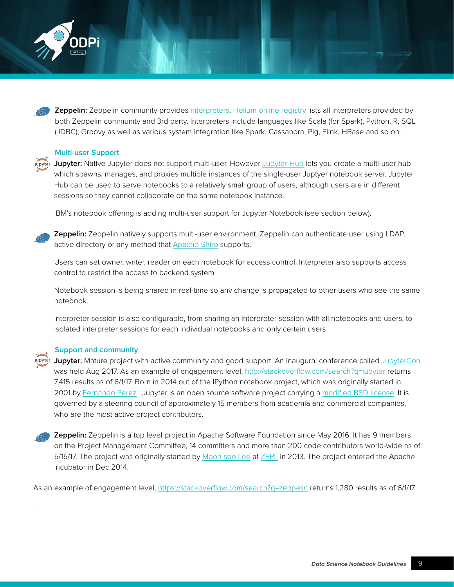<span id="page-8-0"></span>

 **Zeppelin:** Zeppelin community provides [interpreters](http://zeppelin.apache.org/docs/latest/manual/interpreterinstallation.html#available-community-managed-interpreters). [Helium online registry](http://zeppelin.apache.org/helium_packages.html) lists all interpreters provided by both Zeppelin community and 3rd party. Interpreters include languages like Scala (for Spark), Python, R, SQL (JDBC), Groovy as well as various system integration like Spark, Cassandra, Pig, Flink, HBase and so on.

### **Multi-user Support**

Jupyter: Native Jupyter does not support multi-user. However [Jupyter Hub](https://github.com/jupyterhub/jupyterhub) lets you create a multi-user hub which spawns, manages, and proxies multiple instances of the single-user Juptyer notebook server. Jupyter Hub can be used to serve notebooks to a relatively small group of users, although users are in different sessions so they cannot collaborate on the same notebook instance.

IBM's notebook offering is adding multi-user support for Jupyter Notebook (see section below).

.

**Zeppelin:** Zeppelin natively supports multi-user environment. Zeppelin can authenticate user using LDAP, active directory or any method that **Apache Shiro** supports.

Users can set owner, writer, reader on each notebook for access control. Interpreter also supports access control to restrict the access to backend system.

Notebook session is being shared in real-time so any change is propagated to other users who see the same notebook.

Interpreter session is also configurable, from sharing an interpreter session with all notebooks and users, to isolated interpreter sessions for each individual notebooks and only certain users

#### **Support and community**

**Jupyter:** Mature project with active community and good support. An inaugural conference called [JupyterCon](https://conferences.oreilly.com/jupyter/) was held Aug 2017. As an example of engagement level,<http://stackoverflow.com/search?q=jupyter>returns 7,415 results as of 6/1/17. Born in 2014 out of the IPython notebook project, which was originally started in 2001 by [Fernando Perez](http://fperez.org/). Jupyter is an open source software project carrying a [modified BSD license.](https://opensource.org/licenses/BSD-3-Clause) It is governed by a steering council of approximately 15 members from academia and commercial companies, who are the most active project contributors.

**Zeppelin:** Zeppelin is a top level project in Apache Software Foundation since May 2016. It has 9 members on the Project Management Committee, 14 committers and more than 200 code contributors world-wide as of 5/15/17. The project was originally started by [Moon soo Lee](https://www.linkedin.com/in/moonsoo-lee-4982a511/) at [ZEPL](http://www.zepl.com/) in 2013. The project entered the Apache Incubator in Dec 2014.

As an example of engagement level,<https://stackoverflow.com/search?q=zeppelin> returns 1,280 results as of 6/1/17.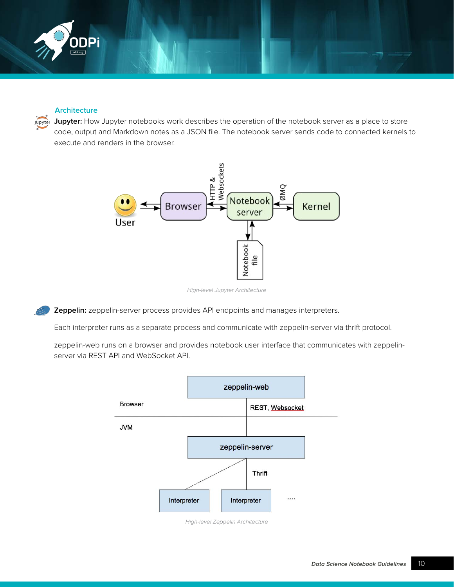<span id="page-9-0"></span>

### **Architecture**

 **Jupyter:** How Jupyter notebooks work describes the operation of the notebook server as a place to store code, output and Markdown notes as a JSON file. The notebook server sends code to connected kernels to execute and renders in the browser.



High-level Jupyter Architecture

**Zeppelin:** zeppelin-server process provides API endpoints and manages interpreters.

Each interpreter runs as a separate process and communicate with zeppelin-server via thrift protocol.

zeppelin-web runs on a browser and provides notebook user interface that communicates with zeppelinserver via REST API and WebSocket API.



High-level Zeppelin Architecture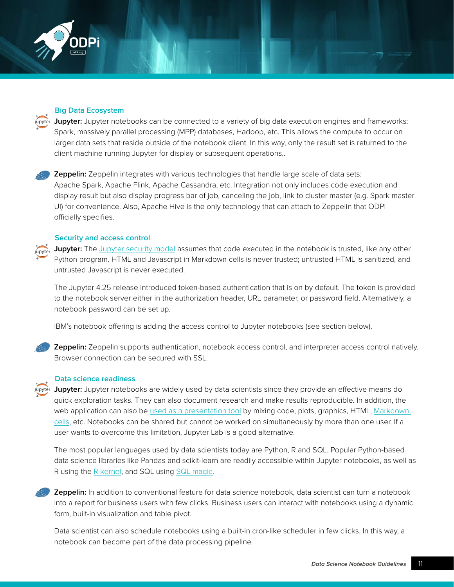<span id="page-10-0"></span>

### **Big Data Ecosystem**

**Jupyter:** Jupyter notebooks can be connected to a variety of big data execution engines and frameworks: Spark, massively parallel processing (MPP) databases, Hadoop, etc. This allows the compute to occur on larger data sets that reside outside of the notebook client. In this way, only the result set is returned to the client machine running Jupyter for display or subsequent operations..

 **Zeppelin:** Zeppelin integrates with various technologies that handle large scale of data sets: Apache Spark, Apache Flink, Apache Cassandra, etc. Integration not only includes code execution and display result but also display progress bar of job, canceling the job, link to cluster master (e.g. Spark master UI) for convenience. Also, Apache Hive is the only technology that can attach to Zeppelin that ODPi officially specifies.

### **Security and access control**

**Jupyter:** The [Jupyter security model](http://jupyter-notebook.readthedocs.io/en/latest/security.html) assumes that code executed in the notebook is trusted, like any other Python program. HTML and Javascript in Markdown cells is never trusted; untrusted HTML is sanitized, and untrusted Javascript is never executed.

The Jupyter 4.25 release introduced token-based authentication that is on by default. The token is provided to the notebook server either in the authorization header, URL parameter, or password field. Alternatively, a notebook password can be set up.

IBM's notebook offering is adding the access control to Jupyter notebooks (see section below).



**Zeppelin:** Zeppelin supports authentication, notebook access control, and interpreter access control natively. Browser connection can be secured with SSL.

### **Data science readiness**

 **Jupyter:** Jupyter notebooks are widely used by data scientists since they provide an effective means do quick exploration tasks. They can also document research and make results reproducible. In addition, the web application can also be [used as a presentation tool b](http://jupyter-notebook.readthedocs.io/en/latest/notebook.html)y mixing code, plots, graphics, HTML, Markdown [cells](http://jupyter-notebook.readthedocs.io/en/latest/examples/Notebook/Working With Markdown Cells.html), etc. Notebooks can be shared but cannot be worked on simultaneously by more than one user. If a user wants to overcome this limitation, Jupyter Lab is a good alternative.

The most popular languages used by data scientists today are Python, R and SQL. Popular Python-based data science libraries like Pandas and scikit-learn are readily accessible within Jupyter notebooks, as well as R using the [R kernel,](https://github.com/IRkernel/IRkernel) and SQL using [SQL magic.](https://github.com/catherinedevlin/ipython-sql)

 **Zeppelin:** In addition to conventional feature for data science notebook, data scientist can turn a notebook into a report for business users with few clicks. Business users can interact with notebooks using a dynamic form, built-in visualization and table pivot.

Data scientist can also schedule notebooks using a built-in cron-like scheduler in few clicks. In this way, a notebook can become part of the data processing pipeline.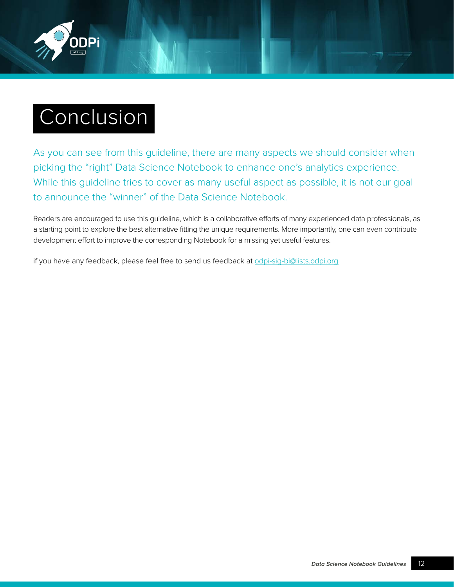<span id="page-11-0"></span>

# Conclusion

As you can see from this guideline, there are many aspects we should consider when picking the "right" Data Science Notebook to enhance one's analytics experience. While this guideline tries to cover as many useful aspect as possible, it is not our goal to announce the "winner" of the Data Science Notebook.

Readers are encouraged to use this guideline, which is a collaborative efforts of many experienced data professionals, as a starting point to explore the best alternative fitting the unique requirements. More importantly, one can even contribute development effort to improve the corresponding Notebook for a missing yet useful features.

if you have any feedback, please feel free to send us feedback at [odpi-sig-bi@lists.odpi.org](mailto:odpi-sig-bi@lists.odpi.org)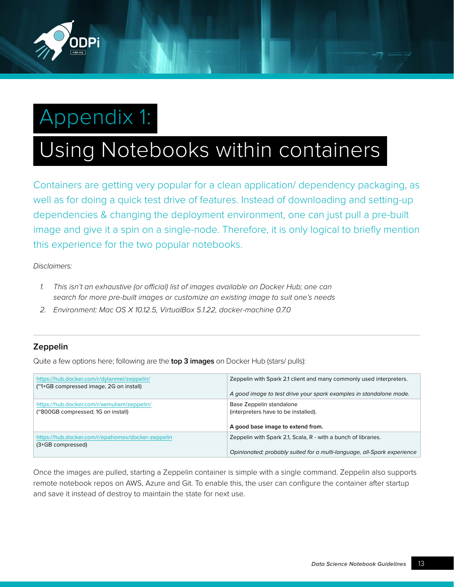<span id="page-12-0"></span>

# Appendix 1:

# Using Notebooks within containers

Containers are getting very popular for a clean application/ dependency packaging, as well as for doing a quick test drive of features. Instead of downloading and setting-up dependencies & changing the deployment environment, one can just pull a pre-built image and give it a spin on a single-node. Therefore, it is only logical to briefly mention this experience for the two popular notebooks.

Disclaimers:

- 1. This isn't an exhaustive (or official) list of images available on Docker Hub; one can search for more pre-built images or customize an existing image to suit one's needs
- 2. Environment: Mac OS X 10.12.5, VirtualBox 5.1.22, docker-machine 0.7.0

## **Zeppelin**

Quite a few options here; following are the **top 3 images** on Docker Hub (stars/ pulls):

| https://hub.docker.com/r/dylanmei/zeppelin/                                       | Zeppelin with Spark 2.1 client and many commonly used interpreters.                                   |
|-----------------------------------------------------------------------------------|-------------------------------------------------------------------------------------------------------|
| ("1+GB compressed image, 2G on install)                                           | A good image to test drive your spark examples in standalone mode.                                    |
| https://hub.docker.com/r/xemuliam/zeppelin/<br>("800GB compressed; 1G on install) | Base Zeppelin standalone<br>(interpreters have to be installed).<br>A good base image to extend from. |
| https://hub.docker.com/r/epahomov/docker-zeppelin                                 | Zeppelin with Spark 2.1, Scala, R - with a bunch of libraries.                                        |
| (3+GB compressed)                                                                 | Opinionated; probably suited for a multi-language, all-Spark experience                               |

Once the images are pulled, starting a Zeppelin container is simple with a single command. Zeppelin also supports remote notebook repos on AWS, Azure and Git. To enable this, the user can configure the container after startup and save it instead of destroy to maintain the state for next use.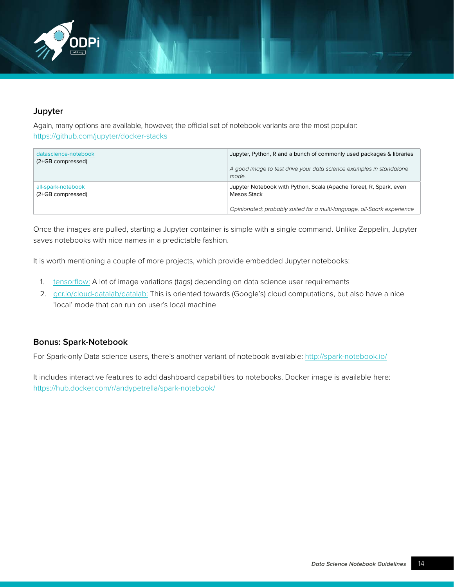<span id="page-13-0"></span>

## **Jupyter**

Again, many options are available, however, the official set of notebook variants are the most popular: <https://github.com/jupyter/docker-stacks>

| datascience-notebook<br>(2+GB compressed) | Jupyter, Python, R and a bunch of commonly used packages & libraries<br>A good image to test drive your data science examples in standalone<br>mode.         |
|-------------------------------------------|--------------------------------------------------------------------------------------------------------------------------------------------------------------|
| all-spark-notebook<br>(2+GB compressed)   | Jupyter Notebook with Python, Scala (Apache Toree), R, Spark, even<br>Mesos Stack<br>Opinionated; probably suited for a multi-language, all-Spark experience |

Once the images are pulled, starting a Jupyter container is simple with a single command. Unlike Zeppelin, Jupyter saves notebooks with nice names in a predictable fashion.

It is worth mentioning a couple of more projects, which provide embedded Jupyter notebooks:

- 1. [tensorflow:](https://hub.docker.com/r/tensorflow/tensorflow/) A lot of image variations (tags) depending on data science user requirements
- 2. [gcr.io/cloud-datalab/datalab:](http://gcr.io/cloud-datalab/datalab) This is oriented towards (Google's) cloud computations, but also have a nice 'local' mode that can run on user's local machine

## **Bonus: Spark-Notebook**

For Spark-only Data science users, there's another variant of notebook available: <http://spark-notebook.io/>

It includes interactive features to add dashboard capabilities to notebooks. Docker image is available here: [https://hub.docker.com/r/andypetrella/spark-notebook/](https://hub.docker.com/r/andypetrella/spark-notebook/ )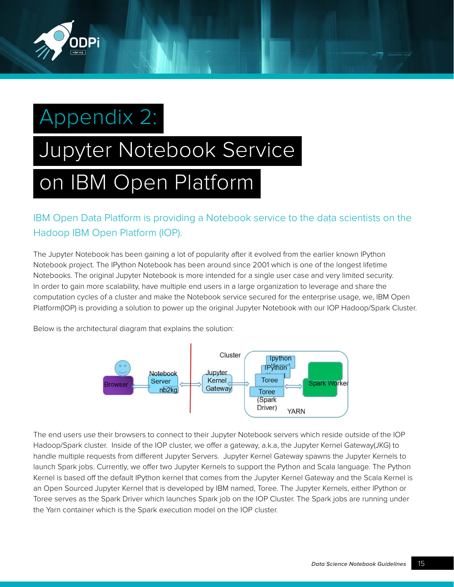<span id="page-14-0"></span>

# Appendix 2:

# Jupyter Notebook Service on IBM Open Platform

IBM Open Data Platform is providing a Notebook service to the data scientists on the Hadoop IBM Open Platform (IOP).

The Jupyter Notebook has been gaining a lot of popularity after it evolved from the earlier known IPython Notebook project. The IPython Notebook has been around since 2001 which is one of the longest lifetime Notebooks. The original Jupyter Notebook is more intended for a single user case and very limited security. In order to gain more scalability, have multiple end users in a large organization to leverage and share the computation cycles of a cluster and make the Notebook service secured for the enterprise usage, we, IBM Open Platform(IOP) is providing a solution to power up the original Jupyter Notebook with our IOP Hadoop/Spark Cluster.

Below is the architectural diagram that explains the solution:



The end users use their browsers to connect to their Jupyter Notebook servers which reside outside of the IOP Hadoop/Spark cluster. Inside of the IOP cluster, we offer a gateway, a.k.a, the Jupyter Kernel Gateway(JKG) to handle multiple requests from different Jupyter Servers. Jupyter Kernel Gateway spawns the Jupyter Kernels to launch Spark jobs. Currently, we offer two Jupyter Kernels to support the Python and Scala language. The Python Kernel is based off the default IPython kernel that comes from the Jupyter Kernel Gateway and the Scala Kernel is an Open Sourced Jupyter Kernel that is developed by IBM named, Toree. The Jupyter Kernels, either IPython or Toree serves as the Spark Driver which launches Spark job on the IOP Cluster. The Spark jobs are running under the Yarn container which is the Spark execution model on the IOP cluster.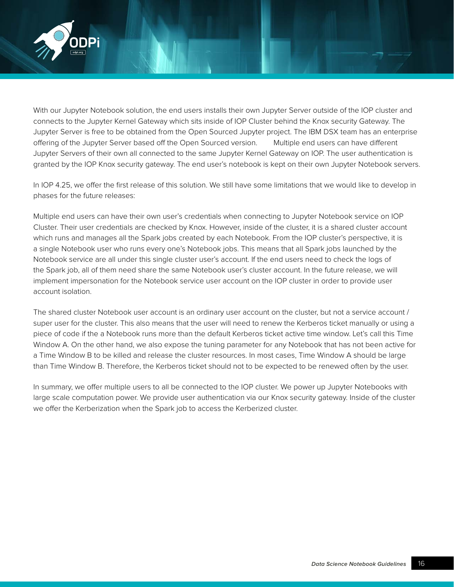

With our Jupyter Notebook solution, the end users installs their own Jupyter Server outside of the IOP cluster and connects to the Jupyter Kernel Gateway which sits inside of IOP Cluster behind the Knox security Gateway. The Jupyter Server is free to be obtained from the Open Sourced Jupyter project. The IBM DSX team has an enterprise offering of the Jupyter Server based off the Open Sourced version. Multiple end users can have different Jupyter Servers of their own all connected to the same Jupyter Kernel Gateway on IOP. The user authentication is granted by the IOP Knox security gateway. The end user's notebook is kept on their own Jupyter Notebook servers.

In IOP 4.25, we offer the first release of this solution. We still have some limitations that we would like to develop in phases for the future releases:

Multiple end users can have their own user's credentials when connecting to Jupyter Notebook service on IOP Cluster. Their user credentials are checked by Knox. However, inside of the cluster, it is a shared cluster account which runs and manages all the Spark jobs created by each Notebook. From the IOP cluster's perspective, it is a single Notebook user who runs every one's Notebook jobs. This means that all Spark jobs launched by the Notebook service are all under this single cluster user's account. If the end users need to check the logs of the Spark job, all of them need share the same Notebook user's cluster account. In the future release, we will implement impersonation for the Notebook service user account on the IOP cluster in order to provide user account isolation.

The shared cluster Notebook user account is an ordinary user account on the cluster, but not a service account / super user for the cluster. This also means that the user will need to renew the Kerberos ticket manually or using a piece of code if the a Notebook runs more than the default Kerberos ticket active time window. Let's call this Time Window A. On the other hand, we also expose the tuning parameter for any Notebook that has not been active for a Time Window B to be killed and release the cluster resources. In most cases, Time Window A should be large than Time Window B. Therefore, the Kerberos ticket should not to be expected to be renewed often by the user.

In summary, we offer multiple users to all be connected to the IOP cluster. We power up Jupyter Notebooks with large scale computation power. We provide user authentication via our Knox security gateway. Inside of the cluster we offer the Kerberization when the Spark job to access the Kerberized cluster.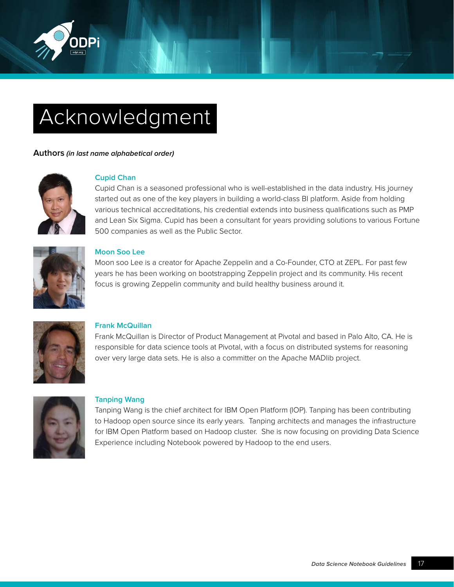<span id="page-16-0"></span>

# Acknowledgment

### **Authors (in last name alphabetical order)**



### **Cupid Chan**

Cupid Chan is a seasoned professional who is well-established in the data industry. His journey started out as one of the key players in building a world-class BI platform. Aside from holding various technical accreditations, his credential extends into business qualifications such as PMP and Lean Six Sigma. Cupid has been a consultant for years providing solutions to various Fortune 500 companies as well as the Public Sector.



### **Moon Soo Lee**

Moon soo Lee is a creator for Apache Zeppelin and a Co-Founder, CTO at ZEPL. For past few years he has been working on bootstrapping Zeppelin project and its community. His recent focus is growing Zeppelin community and build healthy business around it.



## **Frank McQuillan**

Frank McQuillan is Director of Product Management at Pivotal and based in Palo Alto, CA. He is responsible for data science tools at Pivotal, with a focus on distributed systems for reasoning over very large data sets. He is also a committer on the Apache MADlib project.



### **Tanping Wang**

Tanping Wang is the chief architect for IBM Open Platform (IOP). Tanping has been contributing to Hadoop open source since its early years. Tanping architects and manages the infrastructure for IBM Open Platform based on Hadoop cluster. She is now focusing on providing Data Science Experience including Notebook powered by Hadoop to the end users.